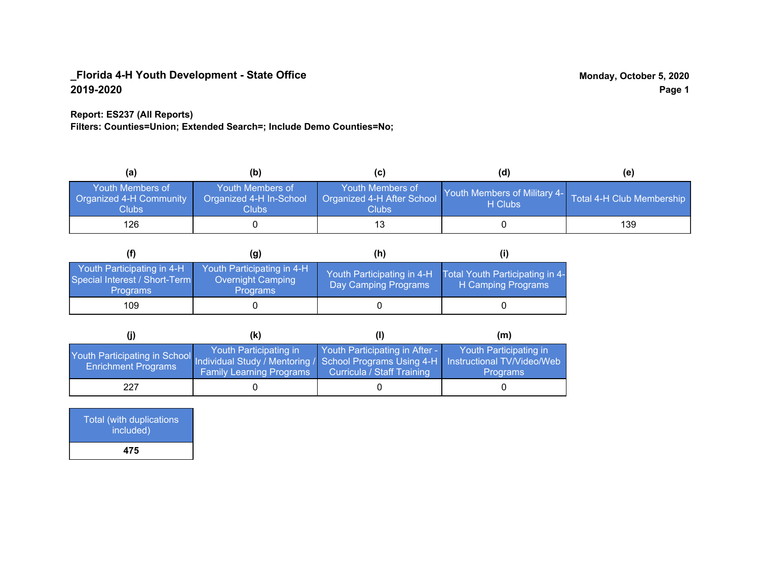### **Report: ES237 (All Reports)**

**Filters: Counties=Union; Extended Search=; Include Demo Counties=No;**

| (a)                                                         | (b)                                                   | (C)                                                       | (d)                                                               | (e) |
|-------------------------------------------------------------|-------------------------------------------------------|-----------------------------------------------------------|-------------------------------------------------------------------|-----|
| <b>Youth Members of</b><br>Organized 4-H Community<br>Clubs | Youth Members of<br>Organized 4-H In-School<br>Clubs: | Youth Members of<br>Organized 4-H After School<br>Clubs : | Youth Members of Military 4- Total 4-H Club Membership<br>H Clubs |     |
| 126                                                         |                                                       |                                                           |                                                                   | 139 |

|                                                                                | (g)                                                                | (h)                                                |                                                       |
|--------------------------------------------------------------------------------|--------------------------------------------------------------------|----------------------------------------------------|-------------------------------------------------------|
| Youth Participating in 4-H<br>Special Interest / Short-Term<br><b>Programs</b> | Youth Participating in 4-H<br>Overnight Camping<br><b>Programs</b> | Youth Participating in 4-H<br>Day Camping Programs | Total Youth Participating in 4-<br>H Camping Programs |
| 109                                                                            |                                                                    |                                                    |                                                       |

|                                                                                                                                                 | (k)                                                       |                                                              | (m)                                       |
|-------------------------------------------------------------------------------------------------------------------------------------------------|-----------------------------------------------------------|--------------------------------------------------------------|-------------------------------------------|
| Youth Participating in School Individual Study / Mentoring / School Programs Using 4-H Instructional TV/Video/Web<br><b>Enrichment Programs</b> | Youth Participating in<br><b>Family Learning Programs</b> | Youth Participating in After -<br>Curricula / Staff Training | Youth Participating in<br><b>Programs</b> |
| 227                                                                                                                                             |                                                           |                                                              |                                           |

| <b>Total (with duplications)</b><br>included) |  |
|-----------------------------------------------|--|
| 475                                           |  |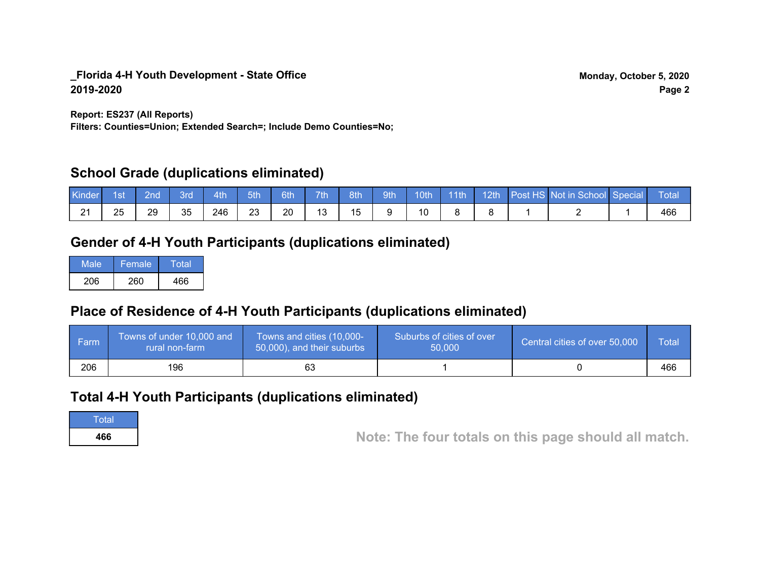**Report: ES237 (All Reports)**

**Filters: Counties=Union; Extended Search=; Include Demo Counties=No;**

# **School Grade (duplications eliminated)**

| Kinde  | 1st | 2nd' | Brd | 4th | 5th | 6th | 7th    | 8th | 9th | 10th | $-11$ th | 12th | Post HS Not in School Special | Total |
|--------|-----|------|-----|-----|-----|-----|--------|-----|-----|------|----------|------|-------------------------------|-------|
| ີ<br>▃ | 25  | 29   | 35  | 246 | 23  | 20  | $\sim$ |     |     |      |          |      |                               | 466   |

# **Gender of 4-H Youth Participants (duplications eliminated)**

| Male | Female | Total |
|------|--------|-------|
| 206  | 260    | 466   |

# **Place of Residence of 4-H Youth Participants (duplications eliminated)**

| <b>Farm</b> | Towns of under 10,000 and<br>rural non-farm | Towns and cities (10,000-<br>50,000), and their suburbs | Suburbs of cities of over<br>50,000 | Central cities of over 50,000 | Total |
|-------------|---------------------------------------------|---------------------------------------------------------|-------------------------------------|-------------------------------|-------|
| 206         | 196                                         | 63                                                      |                                     |                               | 466   |

# **Total 4-H Youth Participants (duplications eliminated)**

**Total** 

**<sup>466</sup> Note: The four totals on this page should all match.**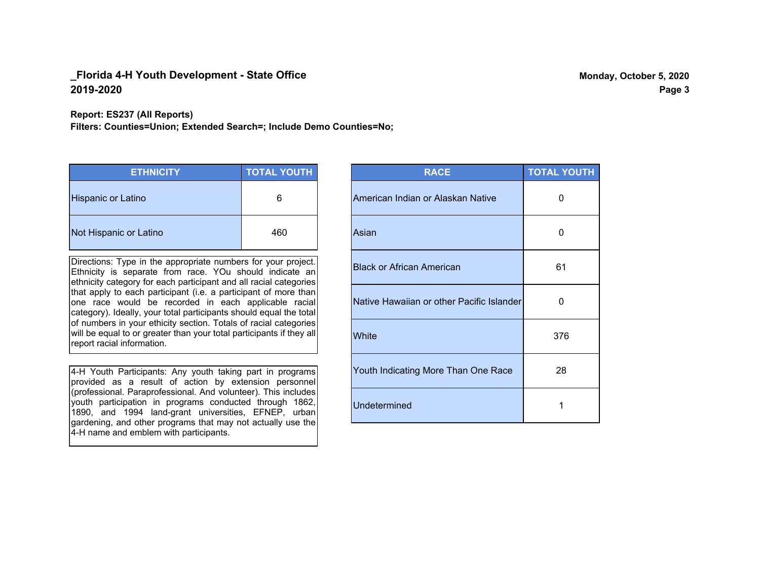**Report: ES237 (All Reports)**

**Filters: Counties=Union; Extended Search=; Include Demo Counties=No;**

| <b>ETHNICITY</b>       | <b>TOTAL YOUTH</b> |
|------------------------|--------------------|
| Hispanic or Latino     | 6                  |
| Not Hispanic or Latino | 460                |

Directions: Type in the appropriate numbers for your project. Ethnicity is separate from race. YOu should indicate an ethnicity category for each participant and all racial categories that apply to each participant (i.e. a participant of more than one race would be recorded in each applicable racial category). Ideally, your total participants should equal the total of numbers in your ethicity section. Totals of racial categories will be equal to or greater than your total participants if they all report racial information.

4-H Youth Participants: Any youth taking part in programs provided as a result of action by extension personnel (professional. Paraprofessional. And volunteer). This includes youth participation in programs conducted through 1862, 1890, and 1994 land-grant universities, EFNEP, urban gardening, and other programs that may not actually use the 4-H name and emblem with participants.

| <b>RACE</b>                               | <b>TOTAL YOUTH</b> |
|-------------------------------------------|--------------------|
| American Indian or Alaskan Native         | O                  |
| Asian                                     | 0                  |
| <b>Black or African American</b>          | 61                 |
| Native Hawaiian or other Pacific Islander | 0                  |
| White                                     | 376                |
| Youth Indicating More Than One Race       | 28                 |
| <b>Undetermined</b>                       | 1                  |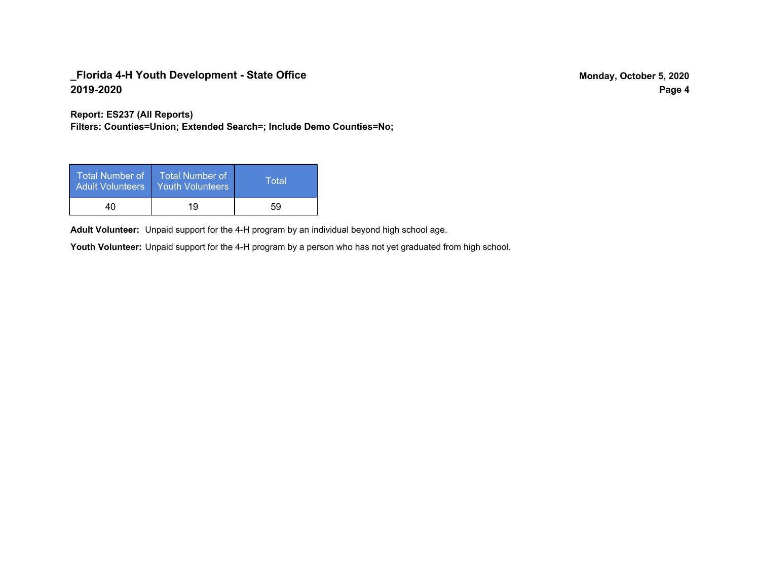**Report: ES237 (All Reports)**

**Filters: Counties=Union; Extended Search=; Include Demo Counties=No;**

| Total Number of<br>Adult Volunteers | <b>Total Number of</b><br><b>Youth Volunteers</b> | Total |
|-------------------------------------|---------------------------------------------------|-------|
| 40                                  | 19                                                | 59    |

Adult Volunteer: Unpaid support for the 4-H program by an individual beyond high school age.

Youth Volunteer: Unpaid support for the 4-H program by a person who has not yet graduated from high school.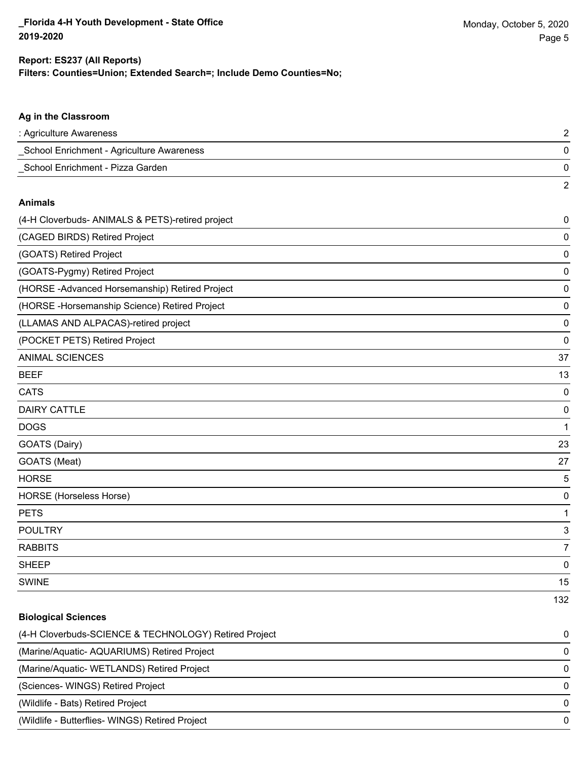2

#### **Ag in the Classroom**

| : Agriculture Awareness                   |  |
|-------------------------------------------|--|
| School Enrichment - Agriculture Awareness |  |
| School Enrichment - Pizza Garden          |  |

#### **Animals**

| (4-H Cloverbuds- ANIMALS & PETS)-retired project | $\mathbf 0$ |
|--------------------------------------------------|-------------|
| (CAGED BIRDS) Retired Project                    | 0           |
| (GOATS) Retired Project                          | 0           |
| (GOATS-Pygmy) Retired Project                    | 0           |
| (HORSE-Advanced Horsemanship) Retired Project    | 0           |
| (HORSE - Horsemanship Science) Retired Project   | 0           |
| (LLAMAS AND ALPACAS)-retired project             | 0           |
| (POCKET PETS) Retired Project                    | 0           |
| <b>ANIMAL SCIENCES</b>                           | 37          |
| <b>BEEF</b>                                      | 13          |
| <b>CATS</b>                                      | 0           |
| <b>DAIRY CATTLE</b>                              | 0           |
| <b>DOGS</b>                                      | 1           |
| GOATS (Dairy)                                    | 23          |
| GOATS (Meat)                                     | 27          |
| <b>HORSE</b>                                     | 5           |
| HORSE (Horseless Horse)                          | 0           |
| <b>PETS</b>                                      | 1           |
| <b>POULTRY</b>                                   | 3           |
| <b>RABBITS</b>                                   | 7           |
| <b>SHEEP</b>                                     | 0           |
| <b>SWINE</b>                                     | 15          |
|                                                  | 132         |

# **Biological Sciences**

| (4-H Cloverbuds-SCIENCE & TECHNOLOGY) Retired Project | $\Omega$ |
|-------------------------------------------------------|----------|
| (Marine/Aquatic-AQUARIUMS) Retired Project            | $\Omega$ |
| (Marine/Aquatic-WETLANDS) Retired Project             | $\Omega$ |
| (Sciences-WINGS) Retired Project                      | $\Omega$ |
| (Wildlife - Bats) Retired Project                     | $\Omega$ |
| (Wildlife - Butterflies- WINGS) Retired Project       | $\Omega$ |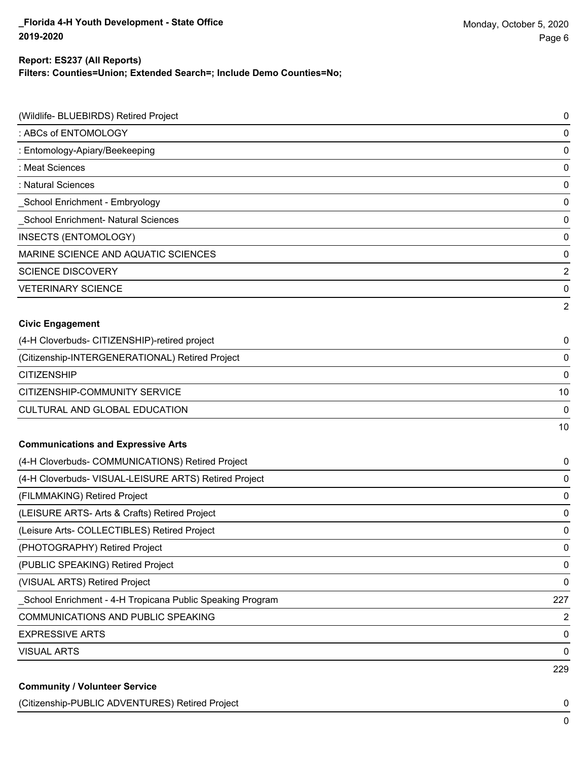# **Report: ES237 (All Reports)**

**Filters: Counties=Union; Extended Search=; Include Demo Counties=No;**

| (Wildlife- BLUEBIRDS) Retired Project                      | 0              |
|------------------------------------------------------------|----------------|
| : ABCs of ENTOMOLOGY                                       | 0              |
| : Entomology-Apiary/Beekeeping                             | 0              |
| : Meat Sciences                                            | 0              |
| : Natural Sciences                                         | 0              |
| _School Enrichment - Embryology                            | 0              |
| School Enrichment- Natural Sciences                        | 0              |
| INSECTS (ENTOMOLOGY)                                       | 0              |
| MARINE SCIENCE AND AQUATIC SCIENCES                        | 0              |
| <b>SCIENCE DISCOVERY</b>                                   | 2              |
| <b>VETERINARY SCIENCE</b>                                  | 0              |
|                                                            | 2              |
| <b>Civic Engagement</b>                                    |                |
| (4-H Cloverbuds- CITIZENSHIP)-retired project              | 0              |
| (Citizenship-INTERGENERATIONAL) Retired Project            | 0              |
| <b>CITIZENSHIP</b>                                         | 0              |
| CITIZENSHIP-COMMUNITY SERVICE                              | 10             |
| CULTURAL AND GLOBAL EDUCATION                              | 0              |
|                                                            | 10             |
| <b>Communications and Expressive Arts</b>                  |                |
| (4-H Cloverbuds- COMMUNICATIONS) Retired Project           | 0              |
| (4-H Cloverbuds- VISUAL-LEISURE ARTS) Retired Project      | 0              |
| (FILMMAKING) Retired Project                               | 0              |
| (LEISURE ARTS- Arts & Crafts) Retired Project              | 0              |
| (Leisure Arts- COLLECTIBLES) Retired Project               | 0              |
| (PHOTOGRAPHY) Retired Project                              | 0              |
| (PUBLIC SPEAKING) Retired Project                          | 0              |
| (VISUAL ARTS) Retired Project                              | 0              |
| _School Enrichment - 4-H Tropicana Public Speaking Program | 227            |
| <b>COMMUNICATIONS AND PUBLIC SPEAKING</b>                  | $\overline{2}$ |
| <b>EXPRESSIVE ARTS</b>                                     | 0              |
| <b>VISUAL ARTS</b>                                         | $\mathbf 0$    |
|                                                            | 229            |
| <b>Community / Volunteer Service</b>                       |                |

(Citizenship-PUBLIC ADVENTURES) Retired Project 0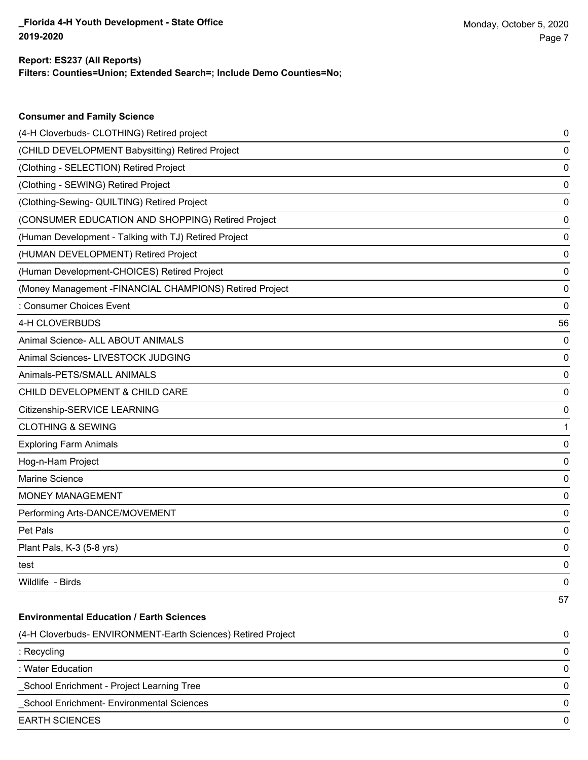**Consumer and Family Science**

#### **Filters: Counties=Union; Extended Search=; Include Demo Counties=No; Report: ES237 (All Reports)**

| (4-H Cloverbuds- CLOTHING) Retired project                   | 0  |
|--------------------------------------------------------------|----|
| (CHILD DEVELOPMENT Babysitting) Retired Project              | 0  |
| (Clothing - SELECTION) Retired Project                       | 0  |
| (Clothing - SEWING) Retired Project                          | 0  |
| (Clothing-Sewing- QUILTING) Retired Project                  | 0  |
| (CONSUMER EDUCATION AND SHOPPING) Retired Project            | 0  |
| (Human Development - Talking with TJ) Retired Project        | 0  |
| (HUMAN DEVELOPMENT) Retired Project                          | 0  |
| (Human Development-CHOICES) Retired Project                  | 0  |
| (Money Management -FINANCIAL CHAMPIONS) Retired Project      | 0  |
| : Consumer Choices Event                                     | 0  |
| 4-H CLOVERBUDS                                               | 56 |
| Animal Science- ALL ABOUT ANIMALS                            | 0  |
| Animal Sciences- LIVESTOCK JUDGING                           | 0  |
| Animals-PETS/SMALL ANIMALS                                   | 0  |
| CHILD DEVELOPMENT & CHILD CARE                               | 0  |
| Citizenship-SERVICE LEARNING                                 | 0  |
| <b>CLOTHING &amp; SEWING</b>                                 | 1  |
| <b>Exploring Farm Animals</b>                                | 0  |
| Hog-n-Ham Project                                            | 0  |
| <b>Marine Science</b>                                        | 0  |
| <b>MONEY MANAGEMENT</b>                                      | 0  |
| Performing Arts-DANCE/MOVEMENT                               | 0  |
| Pet Pals                                                     | 0  |
| Plant Pals, K-3 (5-8 yrs)                                    | 0  |
| test                                                         | 0  |
| Wildlife - Birds                                             | 0  |
|                                                              | 57 |
| <b>Environmental Education / Earth Sciences</b>              |    |
| (4-H Cloverbuds- ENVIRONMENT-Earth Sciences) Retired Project | 0  |
| : Recycling                                                  | 0  |
| : Water Education                                            | 0  |
| School Enrichment - Project Learning Tree                    | 0  |
| School Enrichment- Environmental Sciences                    | 0  |
| <b>EARTH SCIENCES</b>                                        | 0  |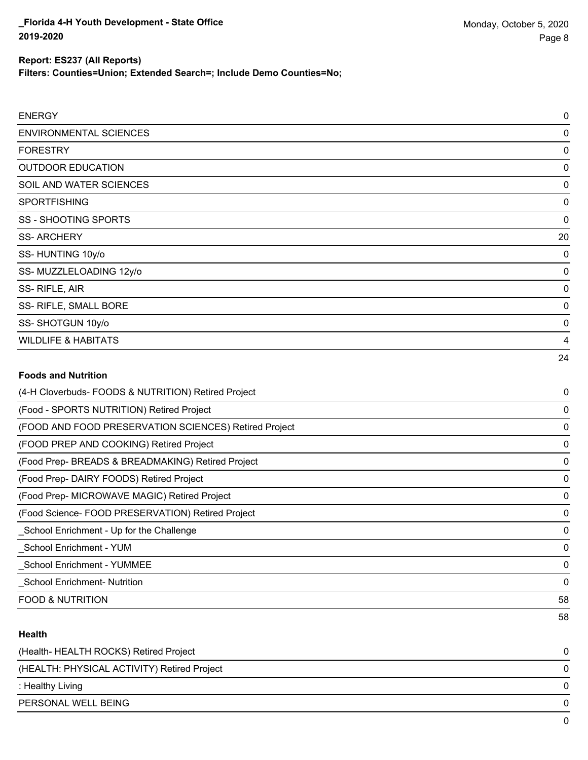**Filters: Counties=Union; Extended Search=; Include Demo Counties=No;**

| <b>ENERGY</b>                                         | 0        |
|-------------------------------------------------------|----------|
| <b>ENVIRONMENTAL SCIENCES</b>                         | 0        |
| <b>FORESTRY</b>                                       | 0        |
| <b>OUTDOOR EDUCATION</b>                              | 0        |
| SOIL AND WATER SCIENCES                               | 0        |
| <b>SPORTFISHING</b>                                   | 0        |
| <b>SS - SHOOTING SPORTS</b>                           | 0        |
| <b>SS-ARCHERY</b>                                     | 20       |
| SS-HUNTING 10y/o                                      | 0        |
| SS-MUZZLELOADING 12y/o                                | 0        |
| SS-RIFLE, AIR                                         | 0        |
| SS- RIFLE, SMALL BORE                                 | 0        |
| SS-SHOTGUN 10y/o                                      | 0        |
| <b>WILDLIFE &amp; HABITATS</b>                        | 4        |
|                                                       | 24       |
| <b>Foods and Nutrition</b>                            |          |
| (4-H Cloverbuds- FOODS & NUTRITION) Retired Project   | 0        |
| (Food - SPORTS NUTRITION) Retired Project             | 0        |
| (FOOD AND FOOD PRESERVATION SCIENCES) Retired Project | 0        |
| (FOOD PREP AND COOKING) Retired Project               | 0        |
| (Food Prep- BREADS & BREADMAKING) Retired Project     | 0        |
| (Food Prep- DAIRY FOODS) Retired Project              | 0        |
| (Food Prep- MICROWAVE MAGIC) Retired Project          | 0        |
| (Food Science- FOOD PRESERVATION) Retired Project     | 0        |
| _School Enrichment - Up for the Challenge             | 0        |
| <b>School Enrichment - YUM</b>                        | 0        |
| School Enrichment - YUMMEE                            | $\Omega$ |
|                                                       |          |

\_School Enrichment- Nutrition 0

FOOD & NUTRITION 58

## **Health**

| (Health-HEALTH ROCKS) Retired Project       |              |
|---------------------------------------------|--------------|
| (HEALTH: PHYSICAL ACTIVITY) Retired Project |              |
| : Healthy Living                            | <sup>n</sup> |
| PERSONAL WELL BEING                         |              |
|                                             |              |

58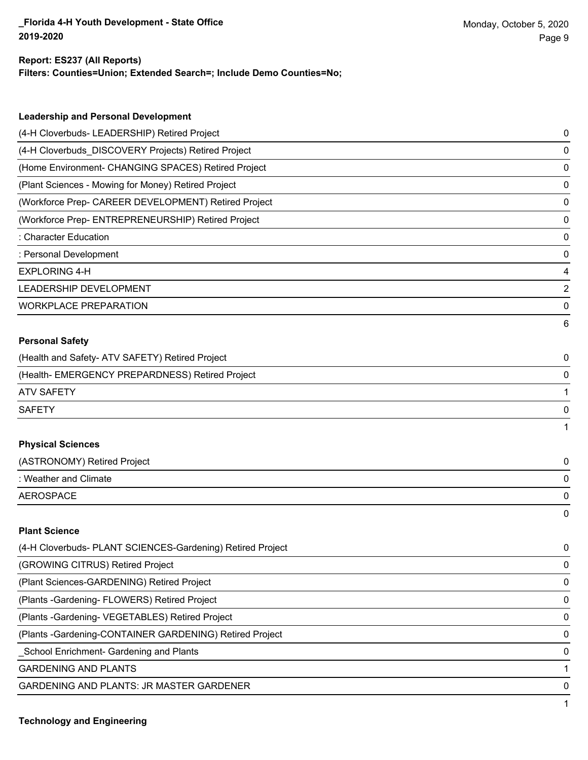#### **Report: ES237 (All Reports)**

**Filters: Counties=Union; Extended Search=; Include Demo Counties=No;**

| <b>Leadership and Personal Development</b>                 |   |
|------------------------------------------------------------|---|
| (4-H Cloverbuds- LEADERSHIP) Retired Project               | 0 |
| (4-H Cloverbuds_DISCOVERY Projects) Retired Project        | 0 |
| (Home Environment- CHANGING SPACES) Retired Project        | 0 |
| (Plant Sciences - Mowing for Money) Retired Project        | 0 |
| (Workforce Prep- CAREER DEVELOPMENT) Retired Project       | 0 |
| (Workforce Prep- ENTREPRENEURSHIP) Retired Project         | 0 |
| : Character Education                                      | 0 |
| : Personal Development                                     | 0 |
| <b>EXPLORING 4-H</b>                                       | 4 |
| LEADERSHIP DEVELOPMENT                                     | 2 |
| <b>WORKPLACE PREPARATION</b>                               | 0 |
|                                                            | 6 |
| <b>Personal Safety</b>                                     |   |
| (Health and Safety- ATV SAFETY) Retired Project            | 0 |
| (Health- EMERGENCY PREPARDNESS) Retired Project            | 0 |
| <b>ATV SAFETY</b>                                          | 1 |
| <b>SAFETY</b>                                              | 0 |
|                                                            |   |
| <b>Physical Sciences</b>                                   |   |
| (ASTRONOMY) Retired Project                                | 0 |
| : Weather and Climate                                      | 0 |
| <b>AEROSPACE</b>                                           | 0 |
|                                                            | 0 |
| <b>Plant Science</b>                                       |   |
| (4-H Cloverbuds- PLANT SCIENCES-Gardening) Retired Project | 0 |
| (GROWING CITRUS) Retired Project                           | 0 |
| (Plant Sciences-GARDENING) Retired Project                 | 0 |

(Plants -Gardening- FLOWERS) Retired Project 0 (Plants -Gardening- VEGETABLES) Retired Project 0

(Plants -Gardening-CONTAINER GARDENING) Retired Project 0

\_School Enrichment- Gardening and Plants 0

GARDENING AND PLANTS 1

GARDENING AND PLANTS: JR MASTER GARDENER 0